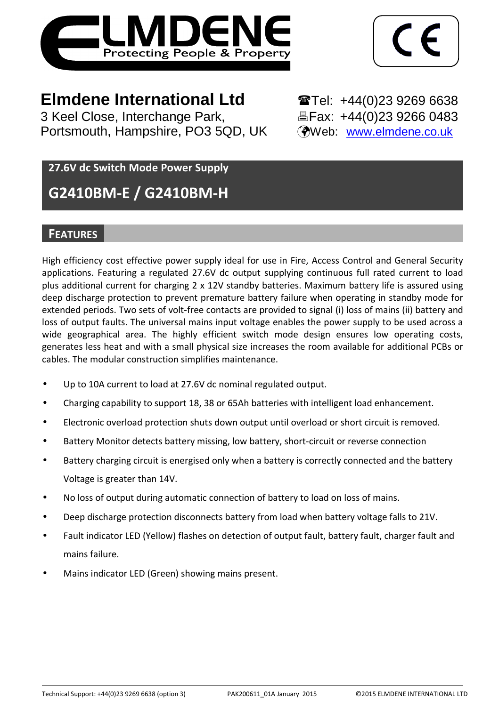

1

# **Elmdene International Ltd** Tel: +44(0)23 9269 6638

3 Keel Close, Interchange Park, Fax: +44(0)23 9266 0483 Portsmouth, Hampshire, PO3 5QD, UK (Web: www.elmdene.co.uk)

# **27.6V dc Switch Mode Power Supply**

# **G2410BM-E / G2410BM-H**

# **FEATURES**

High efficiency cost effective power supply ideal for use in Fire, Access Control and General Security applications. Featuring a regulated 27.6V dc output supplying continuous full rated current to load plus additional current for charging 2 x 12V standby batteries. Maximum battery life is assured using deep discharge protection to prevent premature battery failure when operating in standby mode for extended periods. Two sets of volt-free contacts are provided to signal (i) loss of mains (ii) battery and loss of output faults. The universal mains input voltage enables the power supply to be used across a wide geographical area. The highly efficient switch mode design ensures low operating costs, generates less heat and with a small physical size increases the room available for additional PCBs or cables. The modular construction simplifies maintenance.

- Up to 10A current to load at 27.6V dc nominal regulated output.
- Charging capability to support 18, 38 or 65Ah batteries with intelligent load enhancement.
- Electronic overload protection shuts down output until overload or short circuit is removed.
- Battery Monitor detects battery missing, low battery, short-circuit or reverse connection
- Battery charging circuit is energised only when a battery is correctly connected and the battery Voltage is greater than 14V.
- No loss of output during automatic connection of battery to load on loss of mains.
- Deep discharge protection disconnects battery from load when battery voltage falls to 21V.
- Fault indicator LED (Yellow) flashes on detection of output fault, battery fault, charger fault and mains failure.
- Mains indicator LED (Green) showing mains present.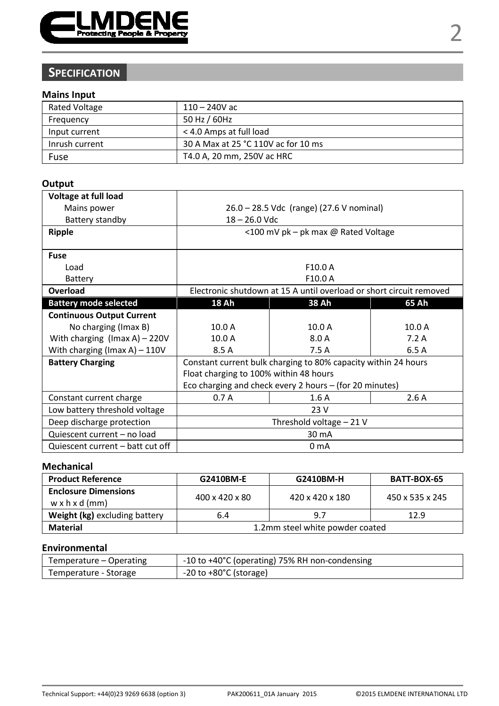

# **SPECIFICATION**

## **Mains Input**

| <b>Rated Voltage</b> | $110 - 240V$ ac                     |
|----------------------|-------------------------------------|
| Frequency            | 50 Hz / 60Hz                        |
| Input current        | < 4.0 Amps at full load             |
| Inrush current       | 30 A Max at 25 °C 110V ac for 10 ms |
| Fuse                 | T4.0 A, 20 mm, 250V ac HRC          |

## **Output**

| Voltage at full load                |                                                                |                                                                     |       |  |
|-------------------------------------|----------------------------------------------------------------|---------------------------------------------------------------------|-------|--|
| Mains power                         | 26.0 - 28.5 Vdc (range) (27.6 V nominal)                       |                                                                     |       |  |
| Battery standby                     | $18 - 26.0$ Vdc                                                |                                                                     |       |  |
| Ripple                              |                                                                | <100 mV pk - pk max @ Rated Voltage                                 |       |  |
|                                     |                                                                |                                                                     |       |  |
| <b>Fuse</b>                         |                                                                |                                                                     |       |  |
| Load                                |                                                                | F10.0 A                                                             |       |  |
| Battery                             |                                                                | F10.0 A                                                             |       |  |
| Overload                            |                                                                | Electronic shutdown at 15 A until overload or short circuit removed |       |  |
| <b>Battery mode selected</b>        | 18 Ah                                                          | 38 Ah                                                               | 65 Ah |  |
| <b>Continuous Output Current</b>    |                                                                |                                                                     |       |  |
| No charging (Imax B)                | 10.0A                                                          | 10.0A                                                               | 10.0A |  |
| With charging $($ Imax A $)$ – 220V | 10.0 A                                                         | 8.0 A                                                               | 7.2A  |  |
| With charging (Imax A) $-110V$      | 8.5 A                                                          | 7.5A                                                                | 6.5 A |  |
| <b>Battery Charging</b>             | Constant current bulk charging to 80% capacity within 24 hours |                                                                     |       |  |
|                                     | Float charging to 100% within 48 hours                         |                                                                     |       |  |
|                                     | Eco charging and check every 2 hours - (for 20 minutes)        |                                                                     |       |  |
| Constant current charge             | 0.7A                                                           | 1.6A                                                                | 2.6A  |  |
| Low battery threshold voltage       | 23 V                                                           |                                                                     |       |  |
| Deep discharge protection           | Threshold voltage - 21 V                                       |                                                                     |       |  |
| Quiescent current - no load         | 30 mA                                                          |                                                                     |       |  |
| Quiescent current – batt cut off    | 0 <sub>m</sub> A                                               |                                                                     |       |  |

## **Mechanical**

| <b>Product Reference</b>                                  | G2410BM-E                       | G2410BM-H       | <b>BATT BOX 65</b> |
|-----------------------------------------------------------|---------------------------------|-----------------|--------------------|
| <b>Enclosure Dimensions</b><br>$w \times h \times d$ (mm) | $400 \times 420 \times 80$      | 420 x 420 x 180 | 450 x 535 x 245    |
| Weight (kg) excluding battery                             | 6.4                             | 9.7             | 12.9               |
| Material                                                  | 1.2mm steel white powder coated |                 |                    |

### **Environmental**

| Temperature – Operating | -10 to +40°C (operating) 75% RH non-condensing |
|-------------------------|------------------------------------------------|
| Temperature - Storage   | $-20$ to $+80^{\circ}$ C (storage)             |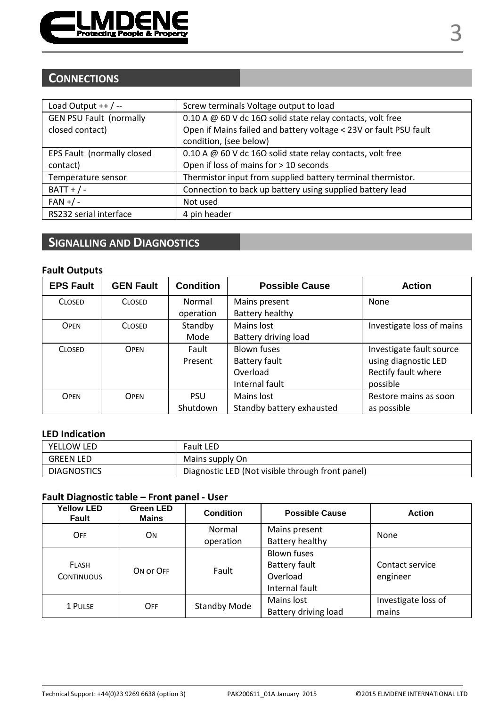

# **CONNECTIONS**

| Screw terminals Voltage output to load                               |
|----------------------------------------------------------------------|
| 0.10 A @ 60 V dc 16 $\Omega$ solid state relay contacts, volt free   |
| Open if Mains failed and battery voltage < 23V or fault PSU fault    |
| condition, (see below)                                               |
| 0.10 A $@$ 60 V dc 16 $\Omega$ solid state relay contacts, volt free |
| Open if loss of mains for > 10 seconds                               |
| Thermistor input from supplied battery terminal thermistor.          |
| Connection to back up battery using supplied battery lead            |
| Not used                                                             |
| 4 pin header                                                         |
|                                                                      |

# **SIGNALLING AND DIAGNOSTICS**

## **Fault Outputs**

| <b>EPS Fault</b> | <b>GEN Fault</b> | <b>Condition</b> | <b>Possible Cause</b>     | <b>Action</b>             |
|------------------|------------------|------------------|---------------------------|---------------------------|
| <b>CLOSED</b>    | <b>CLOSED</b>    | Normal           | Mains present             | None                      |
|                  |                  | operation        | Battery healthy           |                           |
| OPEN             | <b>CLOSED</b>    | Standby          | Mains lost                | Investigate loss of mains |
|                  |                  | Mode             | Battery driving load      |                           |
| <b>CLOSED</b>    | <b>OPFN</b>      | Fault            | <b>Blown fuses</b>        | Investigate fault source  |
|                  |                  | Present          | Battery fault             | using diagnostic LED      |
|                  |                  |                  | Overload                  | Rectify fault where       |
|                  |                  |                  | Internal fault            | possible                  |
| OPEN             | <b>OPFN</b>      | PSU              | Mains lost                | Restore mains as soon     |
|                  |                  | Shutdown         | Standby battery exhausted | as possible               |

## **LED Indication**

| YELLOW LED         | Fault LED                                        |
|--------------------|--------------------------------------------------|
| <b>GREEN LED</b>   | Mains supply On                                  |
| <b>DIAGNOSTICS</b> | Diagnostic LED (Not visible through front panel) |

## **Fault Diagnostic table – Front panel - User**

| <b>Yellow LED</b><br>Fault | Green LED<br>Mains | Condition    | <b>Possible Cause</b>                                             | <b>Action</b>                |
|----------------------------|--------------------|--------------|-------------------------------------------------------------------|------------------------------|
| OFF                        | ON                 | Normal       | Mains present                                                     | None                         |
|                            |                    | operation    | Battery healthy                                                   |                              |
| FLASH<br><b>CONTINUOUS</b> | ON OF OFF          | Fault        | <b>Blown fuses</b><br>Battery fault<br>Overload<br>Internal fault | Contact service<br>engineer  |
| 1 PULSE                    | OFF                | Standby Mode | Mains lost<br>Battery driving load                                | Investigate loss of<br>mains |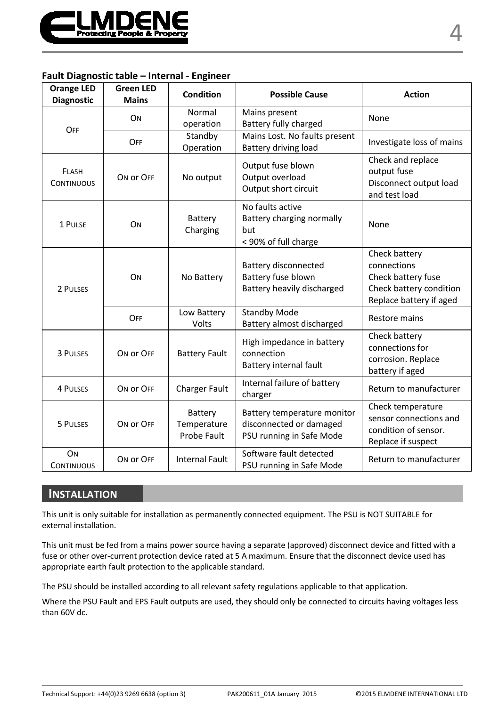

### **Fault Diagnostic table – Internal - Engineer**

| <b>Orange LED</b><br><b>Diagnostic</b> | <b>Green LED</b><br><b>Mains</b> | Condition                             | <b>Possible Cause</b>                                                              | <b>Action</b>                                                                                            |
|----------------------------------------|----------------------------------|---------------------------------------|------------------------------------------------------------------------------------|----------------------------------------------------------------------------------------------------------|
| OFF                                    | ON                               | Normal<br>operation                   | Mains present<br>Battery fully charged                                             | None                                                                                                     |
|                                        | OFF                              | Standby<br>Operation                  | Mains Lost. No faults present<br>Battery driving load                              | Investigate loss of mains                                                                                |
| FLASH<br><b>CONTINUOUS</b>             | ON OF OFF                        | No output                             | Output fuse blown<br>Output overload<br>Output short circuit                       | Check and replace<br>output fuse<br>Disconnect output load<br>and test load                              |
| 1 PULSE                                | ON                               | Battery<br>Charging                   | No faults active<br>Battery charging normally<br>but<br>< 90% of full charge       | None                                                                                                     |
| 2 PULSES                               | ON                               | No Battery                            | Battery disconnected<br>Battery fuse blown<br>Battery heavily discharged           | Check battery<br>connections<br>Check battery fuse<br>Check battery condition<br>Replace battery if aged |
|                                        | OFF                              | Low Battery<br>Volts                  | <b>Standby Mode</b><br>Battery almost discharged                                   | Restore mains                                                                                            |
| 3 PULSES                               | ON OF OFF                        | <b>Battery Fault</b>                  | High impedance in battery<br>connection<br>Battery internal fault                  | Check battery<br>connections for<br>corrosion. Replace<br>battery if aged                                |
| <b>4 PULSES</b>                        | ON OF OFF                        | <b>Charger Fault</b>                  | Internal failure of battery<br>charger                                             | Return to manufacturer                                                                                   |
| 5 PULSES                               | ON OF OFF                        | Battery<br>Temperature<br>Probe Fault | Battery temperature monitor<br>disconnected or damaged<br>PSU running in Safe Mode | Check temperature<br>sensor connections and<br>condition of sensor.<br>Replace if suspect                |
| ON<br><b>CONTINUOUS</b>                | ON OF OFF                        | <b>Internal Fault</b>                 | Software fault detected<br>PSU running in Safe Mode                                | Return to manufacturer                                                                                   |

## **INSTALLATION**

This unit is only suitable for installation as permanently connected equipment. The PSU is NOT SUITABLE for external installation.

This unit must be fed from a mains power source having a separate (approved) disconnect device and fitted with a fuse or other over-current protection device rated at 5 A maximum. Ensure that the disconnect device used has appropriate earth fault protection to the applicable standard.

The PSU should be installed according to all relevant safety regulations applicable to that application.

Where the PSU Fault and EPS Fault outputs are used, they should only be connected to circuits having voltages less than 60V dc.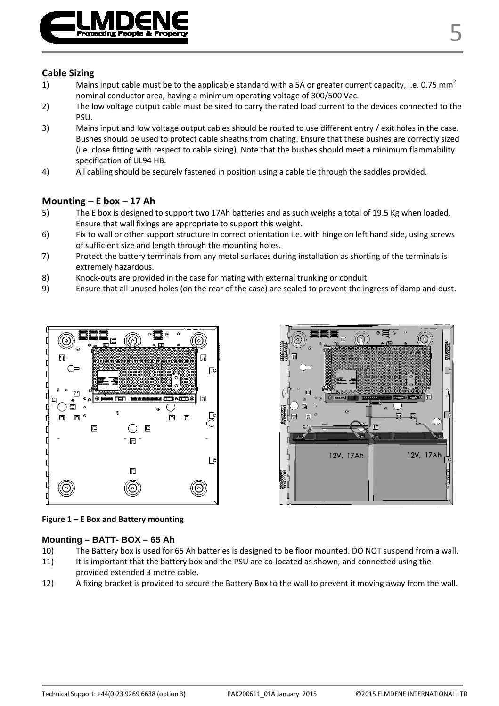

#### **Cable Sizing**

- 1) Mains input cable must be to the applicable standard with a 5A or greater current capacity, i.e. 0.75 mm<sup>2</sup> nominal conductor area, having a minimum operating voltage of 300/500 Vac.
- 2) The low voltage output cable must be sized to carry the rated load current to the devices connected to the PSU.
- 3) Mains input and low voltage output cables should be routed to use different entry / exit holes in the case. Bushes should be used to protect cable sheaths from chafing. Ensure that these bushes are correctly sized (i.e. close fitting with respect to cable sizing). Note that the bushes should meet a minimum flammability specification of UL94 HB.
- 4) All cabling should be securely fastened in position using a cable tie through the saddles provided.

## **Mounting – E box – 17 Ah**

- 5) The E box is designed to support two 17Ah batteries and as such weighs a total of 19.5 Kg when loaded. Ensure that wall fixings are appropriate to support this weight.
- 6) Fix to wall or other support structure in correct orientation i.e. with hinge on left hand side, using screws of sufficient size and length through the mounting holes.
- 7) Protect the battery terminals from any metal surfaces during installation as shorting of the terminals is extremely hazardous.
- 8) Knock-outs are provided in the case for mating with external trunking or conduit.
- 9) Ensure that all unused holes (on the rear of the case) are sealed to prevent the ingress of damp and dust.

 $\overline{\mathbb{R}}$ 

12V, 17Ah



**Figure 1 – E Box and Battery mounting**

#### **Mounting – BATT- BOX – 65 Ah**

- 10) The Battery box is used for 65 Ah batteries is designed to be floor mounted. DO NOT suspend from a wall.
- 11) It is important that the battery box and the PSU are co-located as shown, and connected using the provided extended 3 metre cable.
- 12) A fixing bracket is provided to secure the Battery Box to the wall to prevent it moving away from the wall.

12V, 17Ah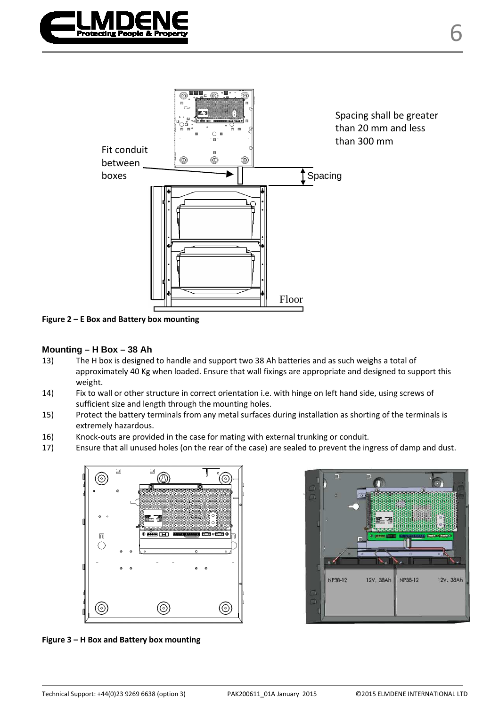



**Figure 2 – E Box and Battery box mounting**

#### **Mounting – H Box – 38 Ah**

- 13) The H box is designed to handle and support two 38 Ah batteries and as such weighs a total of approximately 40 Kg when loaded. Ensure that wall fixings are appropriate and designed to support this weight.
- 14) Fix to wall or other structure in correct orientation i.e. with hinge on left hand side, using screws of sufficient size and length through the mounting holes.
- 15) Protect the battery terminals from any metal surfaces during installation as shorting of the terminals is extremely hazardous.
- 16) Knock-outs are provided in the case for mating with external trunking or conduit.
- 17) Ensure that all unused holes (on the rear of the case) are sealed to prevent the ingress of damp and dust.



NP38-12 12V, 38Ah NP38-12 12V. 38Ah

**Figure 3 – H Box and Battery box mounting**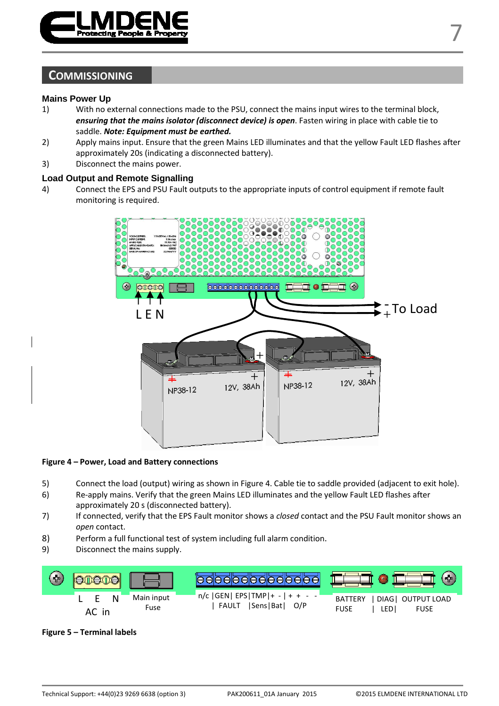

## **COMMISSIONING**

#### **Mains Power Up**

- 1) With no external connections made to the PSU, connect the mains input wires to the terminal block, *ensuring that the mains isolator (disconnect device) is open*. Fasten wiring in place with cable tie to saddle. *Note: Equipment must be earthed.*
- 2) Apply mains input. Ensure that the green Mains LED illuminates and that the yellow Fault LED flashes after approximately 20s (indicating a disconnected battery).
- 3) Disconnect the mains power.

#### **Load Output and Remote Signalling**

4) Connect the EPS and PSU Fault outputs to the appropriate inputs of control equipment if remote fault monitoring is required.



#### **Figure 4 – Power, Load and Battery connections**

- 5) Connect the load (output) wiring as shown in Figure 4. Cable tie to saddle provided (adjacent to exit hole).
- 6) Re-apply mains. Verify that the green Mains LED illuminates and the yellow Fault LED flashes after approximately 20 s (disconnected battery).
- 7) If connected, verify that the EPS Fault monitor shows a *closed* contact and the PSU Fault monitor shows an *open* contact.
- 8) Perform a full functional test of system including full alarm condition.
- 9) Disconnect the mains supply.



#### **Figure 5 – Terminal labels**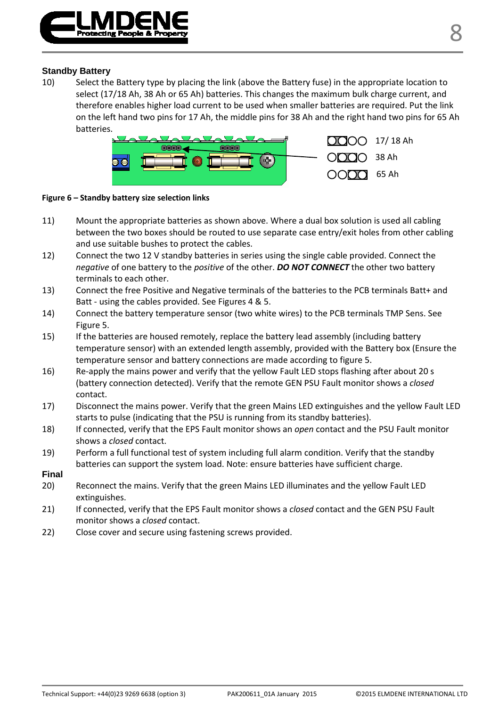

#### **Standby Battery**

10) Select the Battery type by placing the link (above the Battery fuse) in the appropriate location to select (17/18 Ah, 38 Ah or 65 Ah) batteries. This changes the maximum bulk charge current, and therefore enables higher load current to be used when smaller batteries are required. Put the link on the left hand two pins for 17 Ah, the middle pins for 38 Ah and the right hand two pins for 65 Ah batteries.



**Figure 6 – Standby battery size selection links**

- 11) Mount the appropriate batteries as shown above. Where a dual box solution is used all cabling between the two boxes should be routed to use separate case entry/exit holes from other cabling and use suitable bushes to protect the cables.
- 12) Connect the two 12 V standby batteries in series using the single cable provided. Connect the *negative* of one battery to the *positive* of the other. *DO NOT CONNECT* the other two battery terminals to each other.
- 13) Connect the free Positive and Negative terminals of the batteries to the PCB terminals Batt+ and Batt - using the cables provided. See Figures 4 & 5.
- 14) Connect the battery temperature sensor (two white wires) to the PCB terminals TMP Sens. See Figure 5.
- 15) If the batteries are housed remotely, replace the battery lead assembly (including battery temperature sensor) with an extended length assembly, provided with the Battery box (Ensure the temperature sensor and battery connections are made according to figure 5.
- 16) Re-apply the mains power and verify that the yellow Fault LED stops flashing after about 20 s (battery connection detected). Verify that the remote GEN PSU Fault monitor shows a *closed* contact.
- 17) Disconnect the mains power. Verify that the green Mains LED extinguishes and the yellow Fault LED starts to pulse (indicating that the PSU is running from its standby batteries).
- 18) If connected, verify that the EPS Fault monitor shows an *open* contact and the PSU Fault monitor shows a *closed* contact.
- 19) Perform a full functional test of system including full alarm condition. Verify that the standby batteries can support the system load. Note: ensure batteries have sufficient charge.
- **Final**
- 20) Reconnect the mains. Verify that the green Mains LED illuminates and the yellow Fault LED extinguishes.
- 21) If connected, verify that the EPS Fault monitor shows a *closed* contact and the GEN PSU Fault monitor shows a *closed* contact.
- 22) Close cover and secure using fastening screws provided.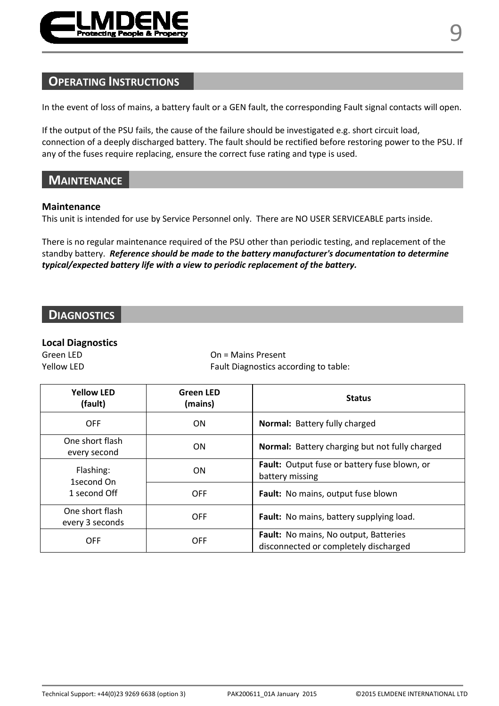

## **OPERATING INSTRUCTIONS**

In the event of loss of mains, a battery fault or a GEN fault, the corresponding Fault signal contacts will open.

If the output of the PSU fails, the cause of the failure should be investigated e.g. short circuit load, connection of a deeply discharged battery. The fault should be rectified before restoring power to the PSU. If any of the fuses require replacing, ensure the correct fuse rating and type is used.

## **MAINTENANCE**

#### **Maintenance**

This unit is intended for use by Service Personnel only. There are NO USER SERVICEABLE parts inside.

There is no regular maintenance required of the PSU other than periodic testing, and replacement of the standby battery. *Reference should be made to the battery manufacturer's documentation to determine typical/expected battery life with a view to periodic replacement of the battery.* 

## **DIAGNOSTICS**

#### **Local Diagnostics**

Green LED **On = Mains Present** Yellow LED **Fault Diagnostics according to table:** 

| <b>Yellow LFD</b><br>(fault)            | <b>Green LED</b><br>(mains) | <b>Status</b>                                                                  |  |
|-----------------------------------------|-----------------------------|--------------------------------------------------------------------------------|--|
| <b>OFF</b>                              | <b>ON</b>                   | <b>Normal: Battery fully charged</b>                                           |  |
| One short flash<br>every second         | ON                          | <b>Normal:</b> Battery charging but not fully charged                          |  |
| Flashing:<br>1second On<br>1 second Off | <b>ON</b>                   | Fault: Output fuse or battery fuse blown, or<br>battery missing                |  |
|                                         | <b>OFF</b>                  | Fault: No mains, output fuse blown                                             |  |
| One short flash<br>every 3 seconds      | <b>OFF</b>                  | Fault: No mains, battery supplying load.                                       |  |
| <b>OFF</b>                              | OFF                         | Fault: No mains, No output, Batteries<br>disconnected or completely discharged |  |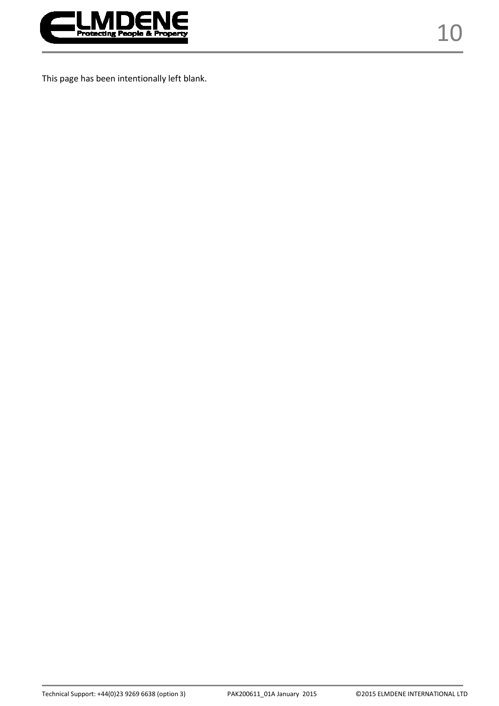

This page has been intentionally left blank.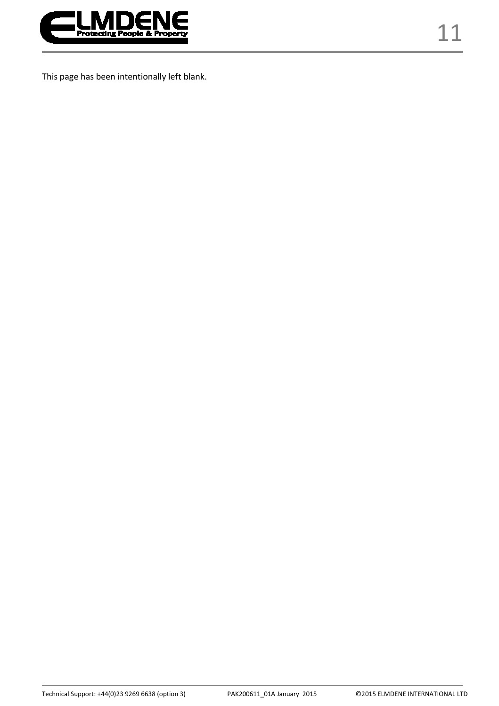

This page has been intentionally left blank.